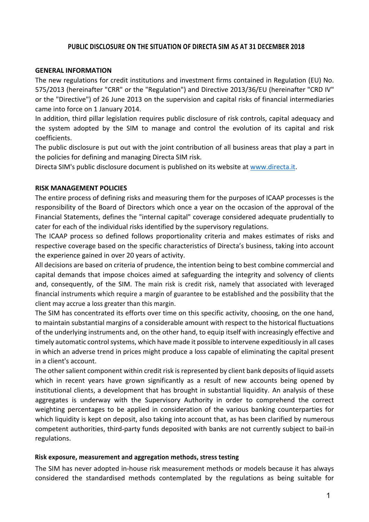## **PUBLIC DISCLOSURE ON THE SITUATION OF DIRECTA SIM AS AT 31 DECEMBER 2018**

#### **GENERAL INFORMATION**

The new regulations for credit institutions and investment firms contained in Regulation (EU) No. 575/2013 (hereinafter "CRR" or the "Regulation") and Directive 2013/36/EU (hereinafter "CRD IV" or the "Directive") of 26 June 2013 on the supervision and capital risks of financial intermediaries came into force on 1 January 2014.

In addition, third pillar legislation requires public disclosure of risk controls, capital adequacy and the system adopted by the SIM to manage and control the evolution of its capital and risk coefficients.

The public disclosure is put out with the joint contribution of all business areas that play a part in the policies for defining and managing Directa SIM risk.

Directa SIM's public disclosure document is published on its website at www.directa.it.

#### **RISK MANAGEMENT POLICIES**

The entire process of defining risks and measuring them for the purposes of ICAAP processes is the responsibility of the Board of Directors which once a year on the occasion of the approval of the Financial Statements, defines the "internal capital" coverage considered adequate prudentially to cater for each of the individual risks identified by the supervisory regulations.

The ICAAP process so defined follows proportionality criteria and makes estimates of risks and respective coverage based on the specific characteristics of Directa's business, taking into account the experience gained in over 20 years of activity.

All decisions are based on criteria of prudence, the intention being to best combine commercial and capital demands that impose choices aimed at safeguarding the integrity and solvency of clients and, consequently, of the SIM. The main risk is credit risk, namely that associated with leveraged financial instruments which require a margin of guarantee to be established and the possibility that the client may accrue a loss greater than this margin.

The SIM has concentrated its efforts over time on this specific activity, choosing, on the one hand, to maintain substantial margins of a considerable amount with respect to the historical fluctuations of the underlying instruments and, on the other hand, to equip itself with increasingly effective and timely automatic control systems, which have made it possible to intervene expeditiously in all cases in which an adverse trend in prices might produce a loss capable of eliminating the capital present in a client's account.

The other salient component within credit risk is represented by client bank deposits of liquid assets which in recent years have grown significantly as a result of new accounts being opened by institutional clients, a development that has brought in substantial liquidity. An analysis of these aggregates is underway with the Supervisory Authority in order to comprehend the correct weighting percentages to be applied in consideration of the various banking counterparties for which liquidity is kept on deposit, also taking into account that, as has been clarified by numerous competent authorities, third-party funds deposited with banks are not currently subject to bail-in regulations.

#### **Risk exposure, measurement and aggregation methods, stress testing**

The SIM has never adopted in-house risk measurement methods or models because it has always considered the standardised methods contemplated by the regulations as being suitable for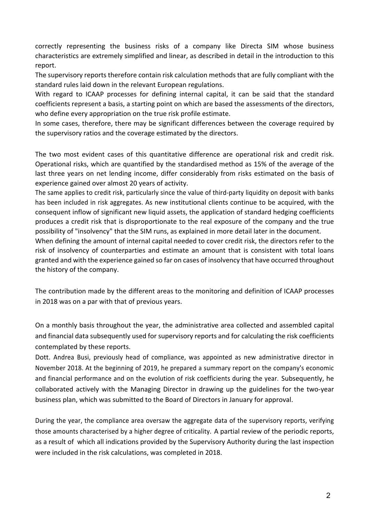correctly representing the business risks of a company like Directa SIM whose business characteristics are extremely simplified and linear, as described in detail in the introduction to this report.

The supervisory reports therefore contain risk calculation methods that are fully compliant with the standard rules laid down in the relevant European regulations.

With regard to ICAAP processes for defining internal capital, it can be said that the standard coefficients represent a basis, a starting point on which are based the assessments of the directors, who define every appropriation on the true risk profile estimate.

In some cases, therefore, there may be significant differences between the coverage required by the supervisory ratios and the coverage estimated by the directors.

The two most evident cases of this quantitative difference are operational risk and credit risk. Operational risks, which are quantified by the standardised method as 15% of the average of the last three years on net lending income, differ considerably from risks estimated on the basis of experience gained over almost 20 years of activity.

The same applies to credit risk, particularly since the value of third-party liquidity on deposit with banks has been included in risk aggregates. As new institutional clients continue to be acquired, with the consequent inflow of significant new liquid assets, the application of standard hedging coefficients produces a credit risk that is disproportionate to the real exposure of the company and the true possibility of "insolvency" that the SIM runs, as explained in more detail later in the document.

When defining the amount of internal capital needed to cover credit risk, the directors refer to the risk of insolvency of counterparties and estimate an amount that is consistent with total loans granted and with the experience gained so far on cases of insolvency that have occurred throughout the history of the company.

The contribution made by the different areas to the monitoring and definition of ICAAP processes in 2018 was on a par with that of previous years.

On a monthly basis throughout the year, the administrative area collected and assembled capital and financial data subsequently used for supervisory reports and for calculating the risk coefficients contemplated by these reports.

Dott. Andrea Busi, previously head of compliance, was appointed as new administrative director in November 2018. At the beginning of 2019, he prepared a summary report on the company's economic and financial performance and on the evolution of risk coefficients during the year. Subsequently, he collaborated actively with the Managing Director in drawing up the guidelines for the two-year business plan, which was submitted to the Board of Directors in January for approval.

During the year, the compliance area oversaw the aggregate data of the supervisory reports, verifying those amounts characterised by a higher degree of criticality. A partial review of the periodic reports, as a result of which all indications provided by the Supervisory Authority during the last inspection were included in the risk calculations, was completed in 2018.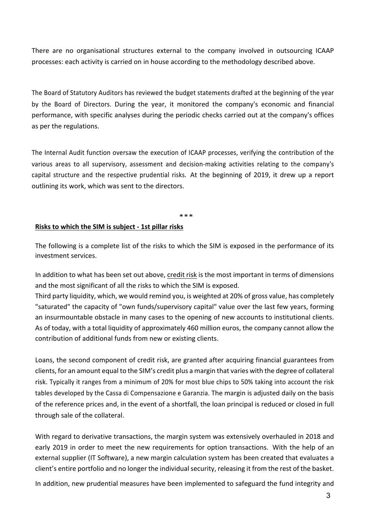There are no organisational structures external to the company involved in outsourcing ICAAP processes: each activity is carried on in house according to the methodology described above.

The Board of Statutory Auditors has reviewed the budget statements drafted at the beginning of the year by the Board of Directors. During the year, it monitored the company's economic and financial performance, with specific analyses during the periodic checks carried out at the company's offices as per the regulations.

The Internal Audit function oversaw the execution of ICAAP processes, verifying the contribution of the various areas to all supervisory, assessment and decision-making activities relating to the company's capital structure and the respective prudential risks. At the beginning of 2019, it drew up a report outlining its work, which was sent to the directors.

\*\*\*

#### **Risks to which the SIM is subject - 1st pillar risks**

The following is a complete list of the risks to which the SIM is exposed in the performance of its investment services.

In addition to what has been set out above, credit risk is the most important in terms of dimensions and the most significant of all the risks to which the SIM is exposed.

Third party liquidity, which, we would remind you, is weighted at 20% of gross value, has completely "saturated" the capacity of "own funds/supervisory capital" value over the last few years, forming an insurmountable obstacle in many cases to the opening of new accounts to institutional clients. As of today, with a total liquidity of approximately 460 million euros, the company cannot allow the contribution of additional funds from new or existing clients.

Loans, the second component of credit risk, are granted after acquiring financial guarantees from clients, for an amount equal to the SIM's credit plus a margin that varies with the degree of collateral risk. Typically it ranges from a minimum of 20% for most blue chips to 50% taking into account the risk tables developed by the Cassa di Compensazione e Garanzia. The margin is adjusted daily on the basis of the reference prices and, in the event of a shortfall, the loan principal is reduced or closed in full through sale of the collateral.

With regard to derivative transactions, the margin system was extensively overhauled in 2018 and early 2019 in order to meet the new requirements for option transactions. With the help of an external supplier (IT Software), a new margin calculation system has been created that evaluates a client's entire portfolio and no longer the individual security, releasing it from the rest of the basket.

In addition, new prudential measures have been implemented to safeguard the fund integrity and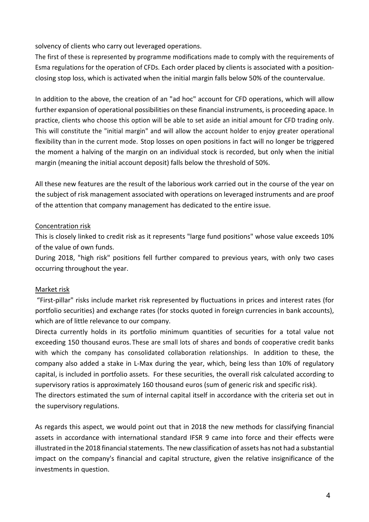solvency of clients who carry out leveraged operations.

The first of these is represented by programme modifications made to comply with the requirements of Esma regulations for the operation of CFDs. Each order placed by clients is associated with a positionclosing stop loss, which is activated when the initial margin falls below 50% of the countervalue.

In addition to the above, the creation of an "ad hoc" account for CFD operations, which will allow further expansion of operational possibilities on these financial instruments, is proceeding apace. In practice, clients who choose this option will be able to set aside an initial amount for CFD trading only. This will constitute the "initial margin" and will allow the account holder to enjoy greater operational flexibility than in the current mode. Stop losses on open positions in fact will no longer be triggered the moment a halving of the margin on an individual stock is recorded, but only when the initial margin (meaning the initial account deposit) falls below the threshold of 50%.

All these new features are the result of the laborious work carried out in the course of the year on the subject of risk management associated with operations on leveraged instruments and are proof of the attention that company management has dedicated to the entire issue.

# Concentration risk

This is closely linked to credit risk as it represents "large fund positions" whose value exceeds 10% of the value of own funds.

During 2018, "high risk" positions fell further compared to previous years, with only two cases occurring throughout the year.

# Market risk

"First-pillar" risks include market risk represented by fluctuations in prices and interest rates (for portfolio securities) and exchange rates (for stocks quoted in foreign currencies in bank accounts), which are of little relevance to our company.

Directa currently holds in its portfolio minimum quantities of securities for a total value not exceeding 150 thousand euros. These are small lots of shares and bonds of cooperative credit banks with which the company has consolidated collaboration relationships. In addition to these, the company also added a stake in L-Max during the year, which, being less than 10% of regulatory capital, is included in portfolio assets. For these securities, the overall risk calculated according to supervisory ratios is approximately 160 thousand euros (sum of generic risk and specific risk). The directors estimated the sum of internal capital itself in accordance with the criteria set out in the supervisory regulations.

As regards this aspect, we would point out that in 2018 the new methods for classifying financial assets in accordance with international standard IFSR 9 came into force and their effects were illustrated in the 2018 financial statements. The new classification of assets has not had a substantial impact on the company's financial and capital structure, given the relative insignificance of the investments in question.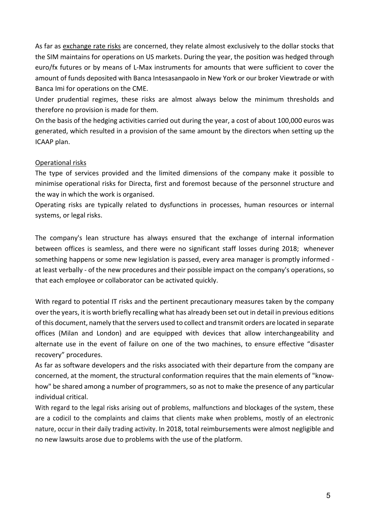As far as exchange rate risks are concerned, they relate almost exclusively to the dollar stocks that the SIM maintains for operations on US markets. During the year, the position was hedged through euro/fx futures or by means of L-Max instruments for amounts that were sufficient to cover the amount of funds deposited with Banca Intesasanpaolo in New York or our broker Viewtrade or with Banca Imi for operations on the CME.

Under prudential regimes, these risks are almost always below the minimum thresholds and therefore no provision is made for them.

On the basis of the hedging activities carried out during the year, a cost of about 100,000 euros was generated, which resulted in a provision of the same amount by the directors when setting up the ICAAP plan.

# Operational risks

The type of services provided and the limited dimensions of the company make it possible to minimise operational risks for Directa, first and foremost because of the personnel structure and the way in which the work is organised.

Operating risks are typically related to dysfunctions in processes, human resources or internal systems, or legal risks.

The company's lean structure has always ensured that the exchange of internal information between offices is seamless, and there were no significant staff losses during 2018; whenever something happens or some new legislation is passed, every area manager is promptly informed at least verbally - of the new procedures and their possible impact on the company's operations, so that each employee or collaborator can be activated quickly.

With regard to potential IT risks and the pertinent precautionary measures taken by the company over the years, it is worth briefly recalling what has already been set out in detail in previous editions of this document, namely that the servers used to collect and transmit orders are located in separate offices (Milan and London) and are equipped with devices that allow interchangeability and alternate use in the event of failure on one of the two machines, to ensure effective "disaster recovery" procedures.

As far as software developers and the risks associated with their departure from the company are concerned, at the moment, the structural conformation requires that the main elements of "knowhow" be shared among a number of programmers, so as not to make the presence of any particular individual critical.

With regard to the legal risks arising out of problems, malfunctions and blockages of the system, these are a codicil to the complaints and claims that clients make when problems, mostly of an electronic nature, occur in their daily trading activity. In 2018, total reimbursements were almost negligible and no new lawsuits arose due to problems with the use of the platform.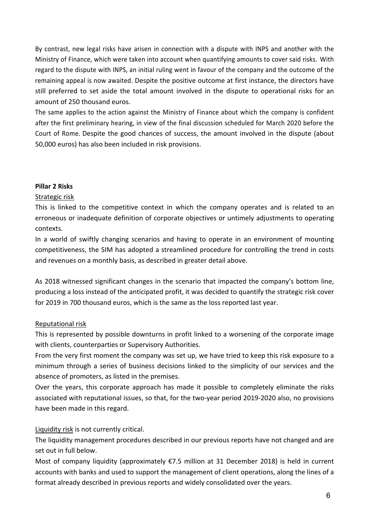By contrast, new legal risks have arisen in connection with a dispute with INPS and another with the Ministry of Finance, which were taken into account when quantifying amounts to cover said risks. With regard to the dispute with INPS, an initial ruling went in favour of the company and the outcome of the remaining appeal is now awaited. Despite the positive outcome at first instance, the directors have still preferred to set aside the total amount involved in the dispute to operational risks for an amount of 250 thousand euros.

The same applies to the action against the Ministry of Finance about which the company is confident after the first preliminary hearing, in view of the final discussion scheduled for March 2020 before the Court of Rome. Despite the good chances of success, the amount involved in the dispute (about 50,000 euros) has also been included in risk provisions.

#### **Pillar 2 Risks**

#### Strategic risk

This is linked to the competitive context in which the company operates and is related to an erroneous or inadequate definition of corporate objectives or untimely adjustments to operating contexts.

In a world of swiftly changing scenarios and having to operate in an environment of mounting competitiveness, the SIM has adopted a streamlined procedure for controlling the trend in costs and revenues on a monthly basis, as described in greater detail above.

As 2018 witnessed significant changes in the scenario that impacted the company's bottom line, producing a loss instead of the anticipated profit, it was decided to quantify the strategic risk cover for 2019 in 700 thousand euros, which is the same as the loss reported last year.

## Reputational risk

This is represented by possible downturns in profit linked to a worsening of the corporate image with clients, counterparties or Supervisory Authorities.

From the very first moment the company was set up, we have tried to keep this risk exposure to a minimum through a series of business decisions linked to the simplicity of our services and the absence of promoters, as listed in the premises.

Over the years, this corporate approach has made it possible to completely eliminate the risks associated with reputational issues, so that, for the two-year period 2019-2020 also, no provisions have been made in this regard.

## Liquidity risk is not currently critical.

The liquidity management procedures described in our previous reports have not changed and are set out in full below.

Most of company liquidity (approximately €7.5 million at 31 December 2018) is held in current accounts with banks and used to support the management of client operations, along the lines of a format already described in previous reports and widely consolidated over the years.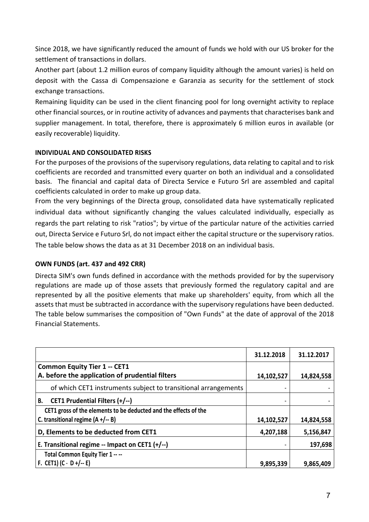Since 2018, we have significantly reduced the amount of funds we hold with our US broker for the settlement of transactions in dollars.

Another part (about 1.2 million euros of company liquidity although the amount varies) is held on deposit with the Cassa di Compensazione e Garanzia as security for the settlement of stock exchange transactions.

Remaining liquidity can be used in the client financing pool for long overnight activity to replace other financial sources, or in routine activity of advances and payments that characterises bank and supplier management. In total, therefore, there is approximately 6 million euros in available (or easily recoverable) liquidity.

## **INDIVIDUAL AND CONSOLIDATED RISKS**

For the purposes of the provisions of the supervisory regulations, data relating to capital and to risk coefficients are recorded and transmitted every quarter on both an individual and a consolidated basis. The financial and capital data of Directa Service e Futuro Srl are assembled and capital coefficients calculated in order to make up group data.

From the very beginnings of the Directa group, consolidated data have systematically replicated individual data without significantly changing the values calculated individually, especially as regards the part relating to risk "ratios"; by virtue of the particular nature of the activities carried out, Directa Service e Futuro Srl, do not impact either the capital structure or the supervisory ratios. The table below shows the data as at 31 December 2018 on an individual basis.

# **OWN FUNDS (art. 437 and 492 CRR)**

Directa SIM's own funds defined in accordance with the methods provided for by the supervisory regulations are made up of those assets that previously formed the regulatory capital and are represented by all the positive elements that make up shareholders' equity, from which all the assets that must be subtracted in accordance with the supervisory regulations have been deducted. The table below summarises the composition of "Own Funds" at the date of approval of the 2018 Financial Statements.

|                                                                  | 31.12.2018 | 31.12.2017 |
|------------------------------------------------------------------|------------|------------|
| <b>Common Equity Tier 1 -- CET1</b>                              |            |            |
| A. before the application of prudential filters                  | 14,102,527 | 14,824,558 |
| of which CET1 instruments subject to transitional arrangements   |            |            |
| CET1 Prudential Filters (+/--)<br>В.                             | m,         |            |
| CET1 gross of the elements to be deducted and the effects of the |            |            |
| C. transitional regime $(A + / - B)$                             | 14,102,527 | 14,824,558 |
| D, Elements to be deducted from CET1                             | 4,207,188  | 5,156,847  |
| E. Transitional regime -- Impact on CET1 (+/--)                  |            | 197,698    |
| Total Common Equity Tier 1 -- --                                 |            |            |
| F. CET1) $(C - D + / - E)$                                       | 9,895,339  | 9,865,409  |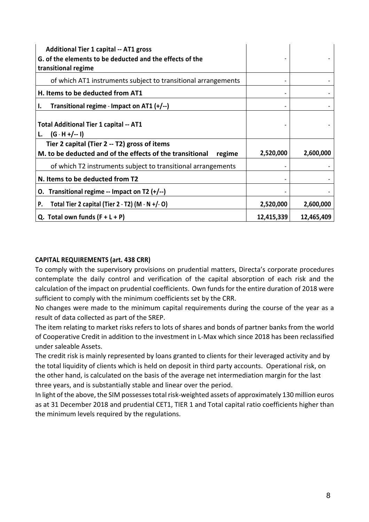| <b>Additional Tier 1 capital -- AT1 gross</b><br>G. of the elements to be deducted and the effects of the<br>transitional regime |            |            |
|----------------------------------------------------------------------------------------------------------------------------------|------------|------------|
| of which AT1 instruments subject to transitional arrangements                                                                    |            |            |
| H. Items to be deducted from AT1                                                                                                 |            |            |
| Transitional regime - Impact on AT1 (+/--)<br>ı.                                                                                 |            |            |
| <b>Total Additional Tier 1 capital -- AT1</b><br>(G · H +/-- I)                                                                  |            |            |
| Tier 2 capital (Tier 2 -- T2) gross of items<br>M. to be deducted and of the effects of the transitional<br>regime               | 2,520,000  | 2,600,000  |
| of which T2 instruments subject to transitional arrangements                                                                     |            |            |
| N. Items to be deducted from T2                                                                                                  |            |            |
| Transitional regime -- Impact on T2 $(+/-)$<br>О.                                                                                |            |            |
| Total Tier 2 capital (Tier 2 - T2) $(M - N + / -0)$<br>P.                                                                        | 2,520,000  | 2,600,000  |
| Q. Total own funds $(F + L + P)$                                                                                                 | 12,415,339 | 12,465,409 |

# **CAPITAL REQUIREMENTS (art. 438 CRR)**

To comply with the supervisory provisions on prudential matters, Directa's corporate procedures contemplate the daily control and verification of the capital absorption of each risk and the calculation of the impact on prudential coefficients. Own funds for the entire duration of 2018 were sufficient to comply with the minimum coefficients set by the CRR.

No changes were made to the minimum capital requirements during the course of the year as a result of data collected as part of the SREP.

The item relating to market risks refers to lots of shares and bonds of partner banks from the world of Cooperative Credit in addition to the investment in L-Max which since 2018 has been reclassified under saleable Assets.

The credit risk is mainly represented by loans granted to clients for their leveraged activity and by the total liquidity of clients which is held on deposit in third party accounts. Operational risk, on the other hand, is calculated on the basis of the average net intermediation margin for the last three years, and is substantially stable and linear over the period.

In light of the above, the SIM possesses total risk-weighted assets of approximately 130 million euros as at 31 December 2018 and prudential CET1, TIER 1 and Total capital ratio coefficients higher than the minimum levels required by the regulations.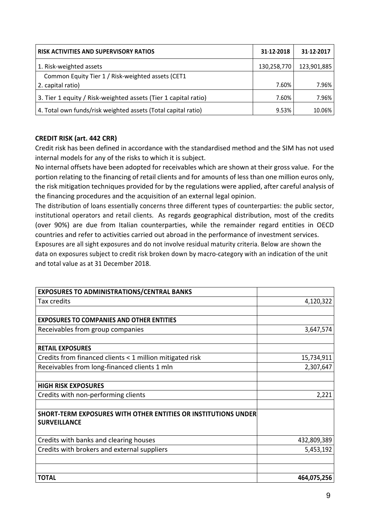| <b>RISK ACTIVITIES AND SUPERVISORY RATIOS</b>                  | 31-12-2018  | 31-12-2017  |
|----------------------------------------------------------------|-------------|-------------|
| 1. Risk-weighted assets                                        | 130,258,770 | 123,901,885 |
| Common Equity Tier 1 / Risk-weighted assets (CET1              |             |             |
| 2. capital ratio)                                              | 7.60%       | 7.96%       |
| 3. Tier 1 equity / Risk-weighted assets (Tier 1 capital ratio) | 7.60%       | 7.96%       |
| 4. Total own funds/risk weighted assets (Total capital ratio)  | 9.53%       | 10.06%      |

# **CREDIT RISK (art. 442 CRR)**

Credit risk has been defined in accordance with the standardised method and the SIM has not used internal models for any of the risks to which it is subject.

No internal offsets have been adopted for receivables which are shown at their gross value. For the portion relating to the financing of retail clients and for amounts of less than one million euros only, the risk mitigation techniques provided for by the regulations were applied, after careful analysis of the financing procedures and the acquisition of an external legal opinion.

The distribution of loans essentially concerns three different types of counterparties: the public sector, institutional operators and retail clients. As regards geographical distribution, most of the credits (over 90%) are due from Italian counterparties, while the remainder regard entities in OECD countries and refer to activities carried out abroad in the performance of investment services. Exposures are all sight exposures and do not involve residual maturity criteria. Below are shown the data on exposures subject to credit risk broken down by macro-category with an indication of the unit and total value as at 31 December 2018.

| <b>EXPOSURES TO ADMINISTRATIONS/CENTRAL BANKS</b>              |             |
|----------------------------------------------------------------|-------------|
| Tax credits                                                    | 4,120,322   |
|                                                                |             |
| <b>EXPOSURES TO COMPANIES AND OTHER ENTITIES</b>               |             |
| Receivables from group companies                               | 3,647,574   |
|                                                                |             |
| <b>RETAIL EXPOSURES</b>                                        |             |
| Credits from financed clients < 1 million mitigated risk       | 15,734,911  |
| Receivables from long-financed clients 1 mln                   | 2,307,647   |
|                                                                |             |
| <b>HIGH RISK EXPOSURES</b>                                     |             |
| Credits with non-performing clients                            | 2,221       |
|                                                                |             |
| SHORT-TERM EXPOSURES WITH OTHER ENTITIES OR INSTITUTIONS UNDER |             |
| <b>SURVEILLANCE</b>                                            |             |
| Credits with banks and clearing houses                         | 432,809,389 |
| Credits with brokers and external suppliers                    | 5,453,192   |
|                                                                |             |
|                                                                |             |
| <b>TOTAL</b>                                                   | 464,075,256 |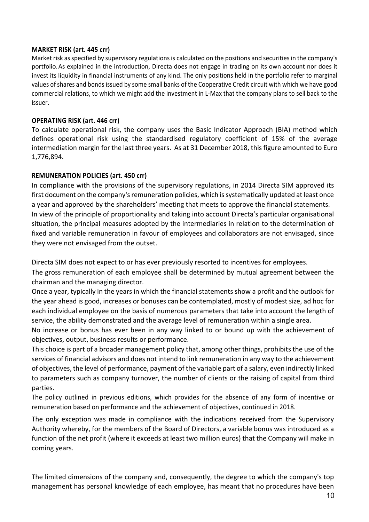#### **MARKET RISK (art. 445 crr)**

Market risk as specified by supervisory regulations is calculated on the positions and securities in the company's portfolio.As explained in the introduction, Directa does not engage in trading on its own account nor does it invest its liquidity in financial instruments of any kind. The only positions held in the portfolio refer to marginal values of shares and bonds issued by some small banks of the Cooperative Credit circuit with which we have good commercial relations, to which we might add the investment in L-Max that the company plans to sell back to the issuer.

### **OPERATING RISK (art. 446 crr)**

To calculate operational risk, the company uses the Basic Indicator Approach (BIA) method which defines operational risk using the standardised regulatory coefficient of 15% of the average intermediation margin for the last three years. As at 31 December 2018, this figure amounted to Euro 1,776,894.

## **REMUNERATION POLICIES (art. 450 crr)**

In compliance with the provisions of the supervisory regulations, in 2014 Directa SIM approved its first document on the company's remuneration policies, which is systematically updated at least once a year and approved by the shareholders' meeting that meets to approve the financial statements. In view of the principle of proportionality and taking into account Directa's particular organisational situation, the principal measures adopted by the intermediaries in relation to the determination of fixed and variable remuneration in favour of employees and collaborators are not envisaged, since they were not envisaged from the outset.

Directa SIM does not expect to or has ever previously resorted to incentives for employees.

The gross remuneration of each employee shall be determined by mutual agreement between the chairman and the managing director.

Once a year, typically in the years in which the financial statements show a profit and the outlook for the year ahead is good, increases or bonuses can be contemplated, mostly of modest size, ad hoc for each individual employee on the basis of numerous parameters that take into account the length of service, the ability demonstrated and the average level of remuneration within a single area.

No increase or bonus has ever been in any way linked to or bound up with the achievement of objectives, output, business results or performance.

This choice is part of a broader management policy that, among other things, prohibits the use of the services of financial advisors and does not intend to link remuneration in any way to the achievement of objectives, the level of performance, payment of the variable part of a salary, even indirectly linked to parameters such as company turnover, the number of clients or the raising of capital from third parties.

The policy outlined in previous editions, which provides for the absence of any form of incentive or remuneration based on performance and the achievement of objectives, continued in 2018.

The only exception was made in compliance with the indications received from the Supervisory Authority whereby, for the members of the Board of Directors, a variable bonus was introduced as a function of the net profit (where it exceeds at least two million euros) that the Company will make in coming years.

The limited dimensions of the company and, consequently, the degree to which the company's top management has personal knowledge of each employee, has meant that no procedures have been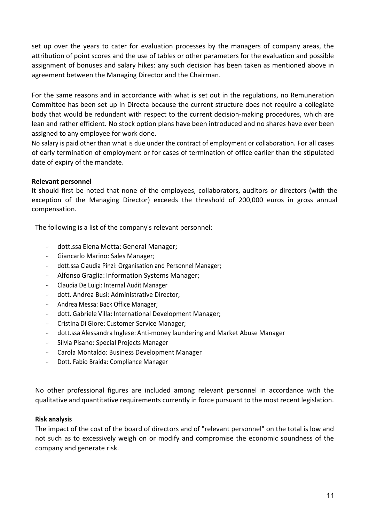set up over the years to cater for evaluation processes by the managers of company areas, the attribution of point scores and the use of tables or other parameters for the evaluation and possible assignment of bonuses and salary hikes: any such decision has been taken as mentioned above in agreement between the Managing Director and the Chairman.

For the same reasons and in accordance with what is set out in the regulations, no Remuneration Committee has been set up in Directa because the current structure does not require a collegiate body that would be redundant with respect to the current decision-making procedures, which are lean and rather efficient. No stock option plans have been introduced and no shares have ever been assigned to any employee for work done.

No salary is paid other than what is due under the contract of employment or collaboration. For all cases of early termination of employment or for cases of termination of office earlier than the stipulated date of expiry of the mandate.

## **Relevant personnel**

It should first be noted that none of the employees, collaborators, auditors or directors (with the exception of the Managing Director) exceeds the threshold of 200,000 euros in gross annual compensation.

The following is a list of the company's relevant personnel:

- dott.ssa Elena Motta: General Manager;
- Giancarlo Marino: Sales Manager;
- dott.ssa Claudia Pinzi: Organisation and Personnel Manager;
- Alfonso Graglia: Information Systems Manager;
- Claudia De Luigi: Internal Audit Manager
- dott. Andrea Busi: Administrative Director;
- ---- Andrea Messa: Back Office Manager;
- dott. Gabriele Villa: International Development Manager;
- Cristina Di Giore: Customer Service Manager;
- dott.ssa Alessandra Inglese: Anti-money laundering and Market Abuse Manager
- ---- Silvia Pisano: Special Projects Manager
- Carola Montaldo: Business Development Manager
- Dott. Fabio Braida: Compliance Manager

No other professional figures are included among relevant personnel in accordance with the qualitative and quantitative requirements currently in force pursuant to the most recent legislation.

## **Risk analysis**

The impact of the cost of the board of directors and of "relevant personnel" on the total is low and not such as to excessively weigh on or modify and compromise the economic soundness of the company and generate risk.